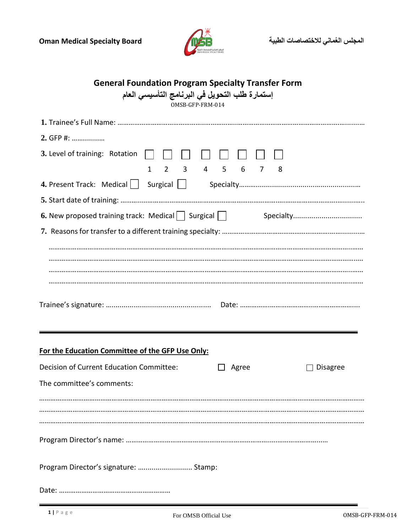

|  |  |  |  |  | <b>General Foundation Program Specialty Transfer Form</b> |
|--|--|--|--|--|-----------------------------------------------------------|
|  |  |  |  |  |                                                           |

 **إستمارة طلب التحويل في البرنامج التأسيسي العام**

OMSB-GFP-FRM-014

| 2. GFP #:                                                                  |  |  |  |  |  |  |  |  |  |  |  |
|----------------------------------------------------------------------------|--|--|--|--|--|--|--|--|--|--|--|
| 3. Level of training: Rotation                                             |  |  |  |  |  |  |  |  |  |  |  |
| $2 \quad 3 \quad 4 \quad 5 \quad 6$<br>$\mathbf{1}$<br>$\overline{7}$<br>8 |  |  |  |  |  |  |  |  |  |  |  |
|                                                                            |  |  |  |  |  |  |  |  |  |  |  |
|                                                                            |  |  |  |  |  |  |  |  |  |  |  |
| 6. New proposed training track: Medical   Surgical   Surgical Specialty    |  |  |  |  |  |  |  |  |  |  |  |
|                                                                            |  |  |  |  |  |  |  |  |  |  |  |
|                                                                            |  |  |  |  |  |  |  |  |  |  |  |
|                                                                            |  |  |  |  |  |  |  |  |  |  |  |
|                                                                            |  |  |  |  |  |  |  |  |  |  |  |
|                                                                            |  |  |  |  |  |  |  |  |  |  |  |
|                                                                            |  |  |  |  |  |  |  |  |  |  |  |
|                                                                            |  |  |  |  |  |  |  |  |  |  |  |
|                                                                            |  |  |  |  |  |  |  |  |  |  |  |
| For the Education Committee of the GFP Use Only:                           |  |  |  |  |  |  |  |  |  |  |  |
|                                                                            |  |  |  |  |  |  |  |  |  |  |  |
| Decision of Current Education Committee:<br>Agree<br><b>Disagree</b>       |  |  |  |  |  |  |  |  |  |  |  |
| The committee's comments:                                                  |  |  |  |  |  |  |  |  |  |  |  |
|                                                                            |  |  |  |  |  |  |  |  |  |  |  |
|                                                                            |  |  |  |  |  |  |  |  |  |  |  |
|                                                                            |  |  |  |  |  |  |  |  |  |  |  |
|                                                                            |  |  |  |  |  |  |  |  |  |  |  |
|                                                                            |  |  |  |  |  |  |  |  |  |  |  |
| Program Director's signature:  Stamp:                                      |  |  |  |  |  |  |  |  |  |  |  |
|                                                                            |  |  |  |  |  |  |  |  |  |  |  |
|                                                                            |  |  |  |  |  |  |  |  |  |  |  |